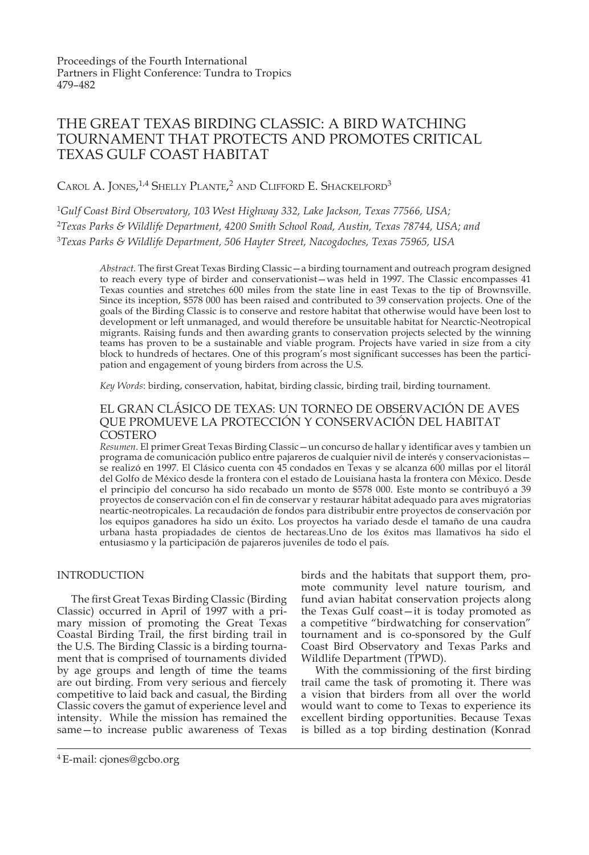# THE GREAT TEXAS BIRDING CLASSIC: A BIRD WATCHING TOURNAMENT THAT PROTECTS AND PROMOTES CRITICAL TEXAS GULF COAST HABITAT

CAROL A. JONES,<sup>1,4</sup> SHELLY PLANTE,<sup>2</sup> AND CLIFFORD E. SHACKELFORD<sup>3</sup>

<sup>1</sup>*Gulf Coast Bird Observatory, 103 West Highway 332, Lake Jackson, Texas 77566, USA;* <sup>2</sup>*Texas Parks & Wildlife Department, 4200 Smith School Road, Austin, Texas 78744, USA; and* <sup>3</sup>*Texas Parks & Wildlife Department, 506 Hayter Street, Nacogdoches, Texas 75965, USA*

Abstract. The first Great Texas Birding Classic - a birding tournament and outreach program designed to reach every type of birder and conservationist—was held in 1997. The Classic encompasses 41 Texas counties and stretches 600 miles from the state line in east Texas to the tip of Brownsville. Since its inception, \$578 000 has been raised and contributed to 39 conservation projects. One of the goals of the Birding Classic is to conserve and restore habitat that otherwise would have been lost to development or left unmanaged, and would therefore be unsuitable habitat for Nearctic-Neotropical migrants. Raising funds and then awarding grants to conservation projects selected by the winning teams has proven to be a sustainable and viable program. Projects have varied in size from a city block to hundreds of hectares. One of this program's most significant successes has been the participation and engagement of young birders from across the U.S.

*Key Words*: birding, conservation, habitat, birding classic, birding trail, birding tournament.

### EL GRAN CLÁSICO DE TEXAS: UN TORNEO DE OBSERVACIÓN DE AVES QUE PROMUEVE LA PROTECCIÓN Y CONSERVACIÓN DEL HABITAT COSTERO

Resumen. El primer Great Texas Birding Classic — un concurso de hallar y identificar aves y tambien un programa de comunicación publico entre pajareros de cualquier nivil de interés y conservacionistas se realizó en 1997. El Clásico cuenta con 45 condados en Texas y se alcanza 600 millas por el litorál del Golfo de México desde la frontera con el estado de Louisiana hasta la frontera con México. Desde el principio del concurso ha sido recabado un monto de \$578 000. Este monto se contribuyó a 39 proyectos de conservación con el fin de conservar y restaurar hábitat adequado para aves migratorias neartic-neotropicales. La recaudación de fondos para distribubir entre proyectos de conservación por los equipos ganadores ha sido un éxito. Los proyectos ha variado desde el tamaño de una caudra urbana hasta propiadades de cientos de hectareas.Uno de los éxitos mas llamativos ha sido el entusiasmo y la participación de pajareros juveniles de todo el país.

### INTRODUCTION

The first Great Texas Birding Classic (Birding Classic) occurred in April of 1997 with a primary mission of promoting the Great Texas Coastal Birding Trail, the first birding trail in the U.S. The Birding Classic is a birding tournament that is comprised of tournaments divided by age groups and length of time the teams are out birding. From very serious and fiercely competitive to laid back and casual, the Birding Classic covers the gamut of experience level and intensity. While the mission has remained the same—to increase public awareness of Texas

birds and the habitats that support them, promote community level nature tourism, and fund avian habitat conservation projects along the Texas Gulf coast—it is today promoted as a competitive "birdwatching for conservation" tournament and is co-sponsored by the Gulf Coast Bird Observatory and Texas Parks and Wildlife Department (TPWD).

With the commissioning of the first birding trail came the task of promoting it. There was a vision that birders from all over the world would want to come to Texas to experience its excellent birding opportunities. Because Texas is billed as a top birding destination (Konrad

<sup>4</sup> E-mail: cjones@gcbo.org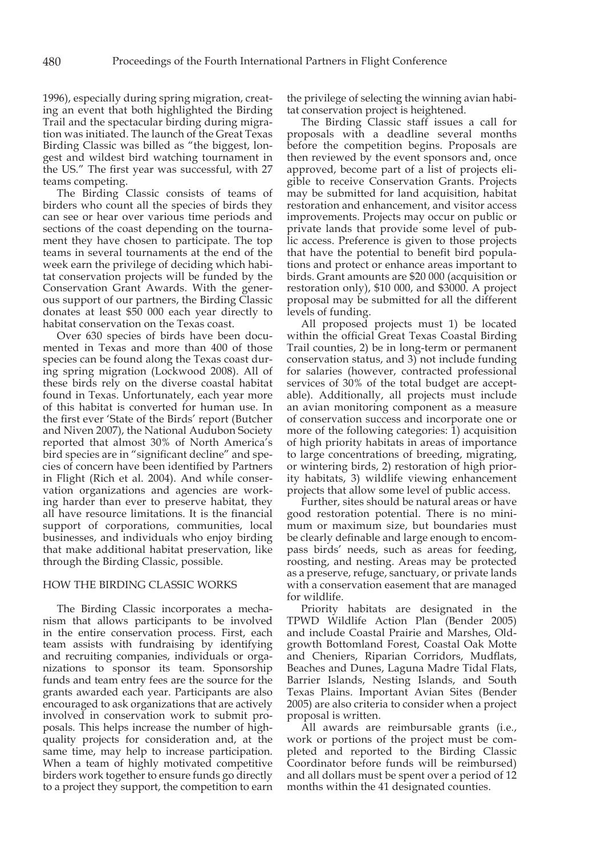1996), especially during spring migration, creating an event that both highlighted the Birding Trail and the spectacular birding during migration was initiated. The launch of the Great Texas Birding Classic was billed as "the biggest, longest and wildest bird watching tournament in the US." The first year was successful, with 27 teams competing.

The Birding Classic consists of teams of birders who count all the species of birds they can see or hear over various time periods and sections of the coast depending on the tournament they have chosen to participate. The top teams in several tournaments at the end of the week earn the privilege of deciding which habitat conservation projects will be funded by the Conservation Grant Awards. With the generous support of our partners, the Birding Classic donates at least \$50 000 each year directly to habitat conservation on the Texas coast.

Over 630 species of birds have been documented in Texas and more than 400 of those species can be found along the Texas coast during spring migration (Lockwood 2008). All of these birds rely on the diverse coastal habitat found in Texas. Unfortunately, each year more of this habitat is converted for human use. In the first ever 'State of the Birds' report (Butcher and Niven 2007), the National Audubon Society reported that almost 30% of North America's bird species are in "significant decline" and species of concern have been identified by Partners in Flight (Rich et al. 2004). And while conservation organizations and agencies are working harder than ever to preserve habitat, they all have resource limitations. It is the financial support of corporations, communities, local businesses, and individuals who enjoy birding that make additional habitat preservation, like through the Birding Classic, possible.

#### HOW THE BIRDING CLASSIC WORKS

The Birding Classic incorporates a mechanism that allows participants to be involved in the entire conservation process. First, each team assists with fundraising by identifying and recruiting companies, individuals or organizations to sponsor its team. Sponsorship funds and team entry fees are the source for the grants awarded each year. Participants are also encouraged to ask organizations that are actively involved in conservation work to submit proposals. This helps increase the number of highquality projects for consideration and, at the same time, may help to increase participation. When a team of highly motivated competitive birders work together to ensure funds go directly to a project they support, the competition to earn

the privilege of selecting the winning avian habitat conservation project is heightened.

The Birding Classic staff issues a call for proposals with a deadline several months before the competition begins. Proposals are then reviewed by the event sponsors and, once approved, become part of a list of projects eligible to receive Conservation Grants. Projects may be submitted for land acquisition, habitat restoration and enhancement, and visitor access improvements. Projects may occur on public or private lands that provide some level of public access. Preference is given to those projects that have the potential to benefit bird populations and protect or enhance areas important to birds. Grant amounts are \$20 000 (acquisition or restoration only), \$10 000, and \$3000. A project proposal may be submitted for all the different levels of funding.

All proposed projects must 1) be located within the official Great Texas Coastal Birding Trail counties, 2) be in long-term or permanent conservation status, and 3) not include funding for salaries (however, contracted professional services of 30% of the total budget are acceptable). Additionally, all projects must include an avian monitoring component as a measure of conservation success and incorporate one or more of the following categories: 1) acquisition of high priority habitats in areas of importance to large concentrations of breeding, migrating, or wintering birds, 2) restoration of high priority habitats, 3) wildlife viewing enhancement projects that allow some level of public access.

Further, sites should be natural areas or have good restoration potential. There is no minimum or maximum size, but boundaries must be clearly definable and large enough to encompass birds' needs, such as areas for feeding, roosting, and nesting. Areas may be protected as a preserve, refuge, sanctuary, or private lands with a conservation easement that are managed for wildlife.

Priority habitats are designated in the TPWD Wildlife Action Plan (Bender 2005) and include Coastal Prairie and Marshes, Oldgrowth Bottomland Forest, Coastal Oak Motte and Cheniers, Riparian Corridors, Mudflats, Beaches and Dunes, Laguna Madre Tidal Flats, Barrier Islands, Nesting Islands, and South Texas Plains. Important Avian Sites (Bender 2005) are also criteria to consider when a project proposal is written.

All awards are reimbursable grants (i.e., work or portions of the project must be completed and reported to the Birding Classic Coordinator before funds will be reimbursed) and all dollars must be spent over a period of 12 months within the 41 designated counties.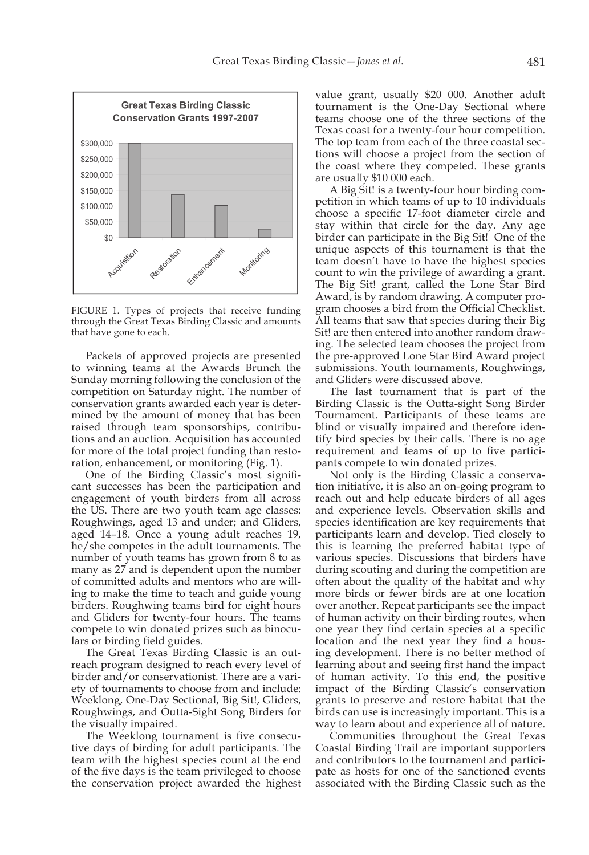

FIGURE 1. Types of projects that receive funding through the Great Texas Birding Classic and amounts that have gone to each.

Packets of approved projects are presented to winning teams at the Awards Brunch the Sunday morning following the conclusion of the competition on Saturday night. The number of conservation grants awarded each year is determined by the amount of money that has been raised through team sponsorships, contributions and an auction. Acquisition has accounted for more of the total project funding than restoration, enhancement, or monitoring (Fig. 1).

One of the Birding Classic's most significant successes has been the participation and engagement of youth birders from all across the US. There are two youth team age classes: Roughwings, aged 13 and under; and Gliders, aged 14–18. Once a young adult reaches 19, he/she competes in the adult tournaments. The number of youth teams has grown from 8 to as many as 27 and is dependent upon the number of committed adults and mentors who are willing to make the time to teach and guide young birders. Roughwing teams bird for eight hours and Gliders for twenty-four hours. The teams compete to win donated prizes such as binoculars or birding field guides.

The Great Texas Birding Classic is an outreach program designed to reach every level of birder and/or conservationist. There are a variety of tournaments to choose from and include: Weeklong, One-Day Sectional, Big Sit!, Gliders, Roughwings, and Outta-Sight Song Birders for the visually impaired.

The Weeklong tournament is five consecutive days of birding for adult participants. The team with the highest species count at the end of the five days is the team privileged to choose the conservation project awarded the highest value grant, usually \$20 000. Another adult tournament is the One-Day Sectional where teams choose one of the three sections of the Texas coast for a twenty-four hour competition. The top team from each of the three coastal sections will choose a project from the section of the coast where they competed. These grants are usually \$10 000 each.

A Big Sit! is a twenty-four hour birding competition in which teams of up to 10 individuals choose a specific 17-foot diameter circle and stay within that circle for the day. Any age birder can participate in the Big Sit! One of the unique aspects of this tournament is that the team doesn't have to have the highest species count to win the privilege of awarding a grant. The Big Sit! grant, called the Lone Star Bird Award, is by random drawing. A computer program chooses a bird from the Official Checklist. All teams that saw that species during their Big Sit! are then entered into another random drawing. The selected team chooses the project from the pre-approved Lone Star Bird Award project submissions. Youth tournaments, Roughwings, and Gliders were discussed above.

The last tournament that is part of the Birding Classic is the Outta-sight Song Birder Tournament. Participants of these teams are blind or visually impaired and therefore identify bird species by their calls. There is no age requirement and teams of up to five participants compete to win donated prizes.

Not only is the Birding Classic a conservation initiative, it is also an on-going program to reach out and help educate birders of all ages and experience levels. Observation skills and species identification are key requirements that participants learn and develop. Tied closely to this is learning the preferred habitat type of various species. Discussions that birders have during scouting and during the competition are often about the quality of the habitat and why more birds or fewer birds are at one location over another. Repeat participants see the impact of human activity on their birding routes, when one year they find certain species at a specific location and the next year they find a housing development. There is no better method of learning about and seeing first hand the impact of human activity. To this end, the positive impact of the Birding Classic's conservation grants to preserve and restore habitat that the birds can use is increasingly important. This is a way to learn about and experience all of nature.

Communities throughout the Great Texas Coastal Birding Trail are important supporters and contributors to the tournament and participate as hosts for one of the sanctioned events associated with the Birding Classic such as the